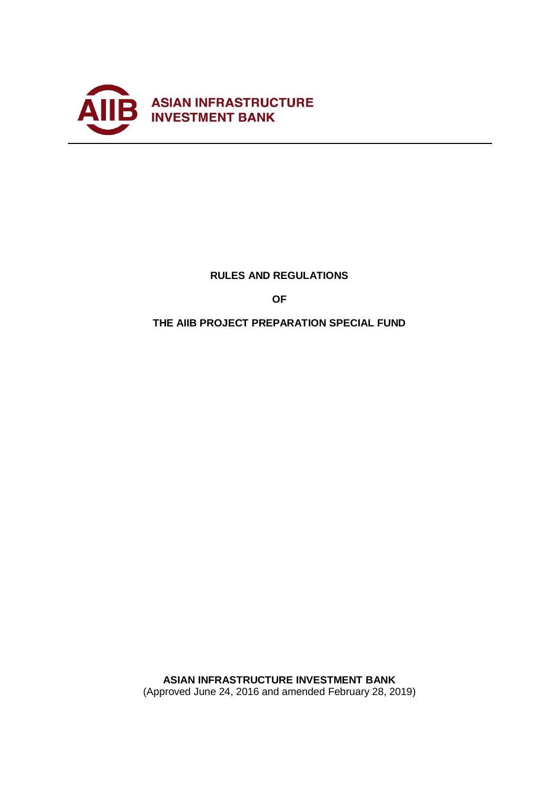

# **RULES AND REGULATIONS**

**OF**

# **THE AIIB PROJECT PREPARATION SPECIAL FUND**

**ASIAN INFRASTRUCTURE INVESTMENT BANK**  (Approved June 24, 2016 and amended February 28, 2019)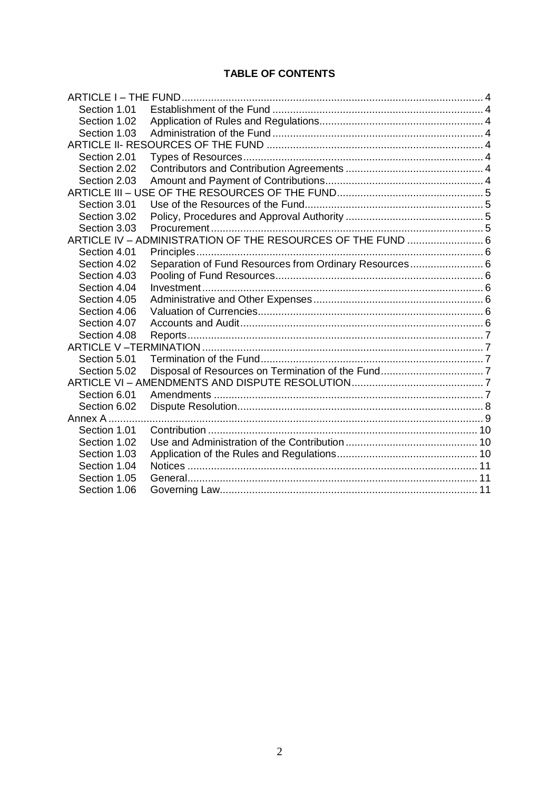# **TABLE OF CONTENTS**

| Section 1.01 |                                                             |  |  |
|--------------|-------------------------------------------------------------|--|--|
| Section 1.02 |                                                             |  |  |
| Section 1.03 |                                                             |  |  |
|              |                                                             |  |  |
| Section 2.01 |                                                             |  |  |
| Section 2.02 |                                                             |  |  |
| Section 2.03 |                                                             |  |  |
|              |                                                             |  |  |
| Section 3.01 |                                                             |  |  |
| Section 3.02 |                                                             |  |  |
| Section 3.03 |                                                             |  |  |
|              | ARTICLE IV - ADMINISTRATION OF THE RESOURCES OF THE FUND  6 |  |  |
| Section 4.01 |                                                             |  |  |
| Section 4.02 | Separation of Fund Resources from Ordinary Resources 6      |  |  |
| Section 4.03 |                                                             |  |  |
| Section 4.04 |                                                             |  |  |
| Section 4.05 |                                                             |  |  |
| Section 4.06 |                                                             |  |  |
| Section 4.07 |                                                             |  |  |
| Section 4.08 |                                                             |  |  |
|              |                                                             |  |  |
| Section 5.01 |                                                             |  |  |
| Section 5.02 |                                                             |  |  |
|              |                                                             |  |  |
| Section 6.01 |                                                             |  |  |
| Section 6.02 |                                                             |  |  |
| Annex A      |                                                             |  |  |
| Section 1.01 |                                                             |  |  |
| Section 1.02 |                                                             |  |  |
| Section 1.03 |                                                             |  |  |
| Section 1.04 |                                                             |  |  |
| Section 1.05 |                                                             |  |  |
| Section 1.06 |                                                             |  |  |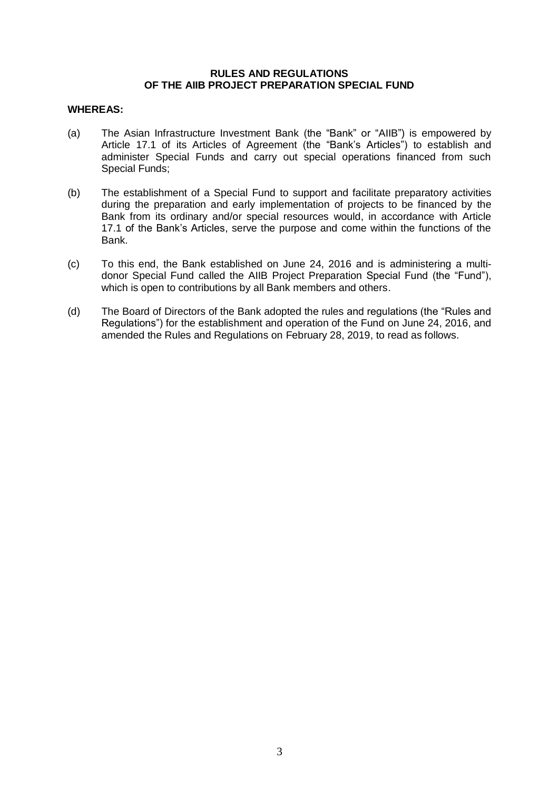## **RULES AND REGULATIONS OF THE AIIB PROJECT PREPARATION SPECIAL FUND**

## **WHEREAS:**

- (a) The Asian Infrastructure Investment Bank (the "Bank" or "AIIB") is empowered by Article 17.1 of its Articles of Agreement (the "Bank's Articles") to establish and administer Special Funds and carry out special operations financed from such Special Funds;
- (b) The establishment of a Special Fund to support and facilitate preparatory activities during the preparation and early implementation of projects to be financed by the Bank from its ordinary and/or special resources would, in accordance with Article 17.1 of the Bank's Articles, serve the purpose and come within the functions of the Bank.
- (c) To this end, the Bank established on June 24, 2016 and is administering a multidonor Special Fund called the AIIB Project Preparation Special Fund (the "Fund"), which is open to contributions by all Bank members and others.
- (d) The Board of Directors of the Bank adopted the rules and regulations (the "Rules and Regulations") for the establishment and operation of the Fund on June 24, 2016, and amended the Rules and Regulations on February 28, 2019, to read as follows.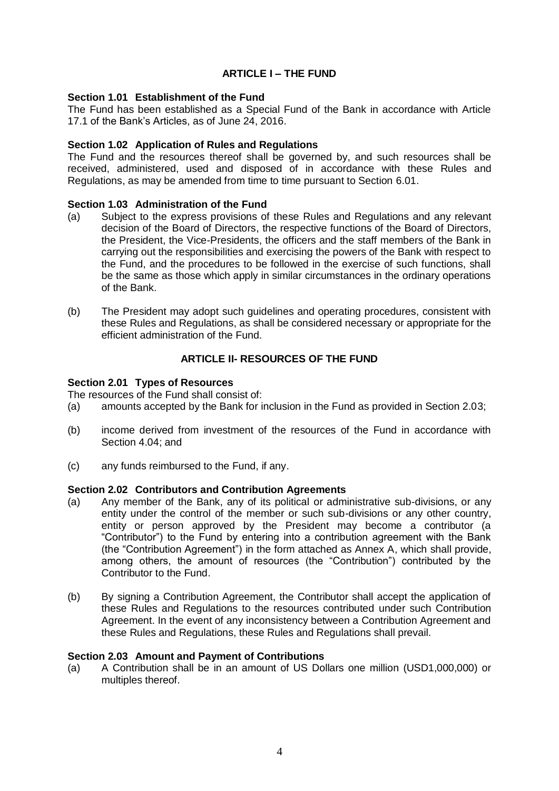# **ARTICLE I – THE FUND**

## <span id="page-3-1"></span><span id="page-3-0"></span>**Section 1.01 Establishment of the Fund**

The Fund has been established as a Special Fund of the Bank in accordance with Article 17.1 of the Bank's Articles, as of June 24, 2016.

## <span id="page-3-2"></span>**Section 1.02 Application of Rules and Regulations**

The Fund and the resources thereof shall be governed by, and such resources shall be received, administered, used and disposed of in accordance with these Rules and Regulations, as may be amended from time to time pursuant to Section 6.01.

## <span id="page-3-3"></span>**Section 1.03 Administration of the Fund**

- (a) Subject to the express provisions of these Rules and Regulations and any relevant decision of the Board of Directors, the respective functions of the Board of Directors, the President, the Vice-Presidents, the officers and the staff members of the Bank in carrying out the responsibilities and exercising the powers of the Bank with respect to the Fund, and the procedures to be followed in the exercise of such functions, shall be the same as those which apply in similar circumstances in the ordinary operations of the Bank.
- (b) The President may adopt such guidelines and operating procedures, consistent with these Rules and Regulations, as shall be considered necessary or appropriate for the efficient administration of the Fund.

# **ARTICLE II- RESOURCES OF THE FUND**

## <span id="page-3-5"></span><span id="page-3-4"></span>**Section 2.01 Types of Resources**

The resources of the Fund shall consist of:

- (a) amounts accepted by the Bank for inclusion in the Fund as provided in Section 2.03;
- (b) income derived from investment of the resources of the Fund in accordance with Section 4.04; and
- (c) any funds reimbursed to the Fund, if any.

## <span id="page-3-6"></span>**Section 2.02 Contributors and Contribution Agreements**

- (a) Any member of the Bank, any of its political or administrative sub-divisions, or any entity under the control of the member or such sub-divisions or any other country, entity or person approved by the President may become a contributor (a "Contributor") to the Fund by entering into a contribution agreement with the Bank (the "Contribution Agreement") in the form attached as Annex A, which shall provide, among others, the amount of resources (the "Contribution") contributed by the Contributor to the Fund.
- (b) By signing a Contribution Agreement, the Contributor shall accept the application of these Rules and Regulations to the resources contributed under such Contribution Agreement. In the event of any inconsistency between a Contribution Agreement and these Rules and Regulations, these Rules and Regulations shall prevail.

## <span id="page-3-7"></span>**Section 2.03 Amount and Payment of Contributions**

(a) A Contribution shall be in an amount of US Dollars one million (USD1,000,000) or multiples thereof.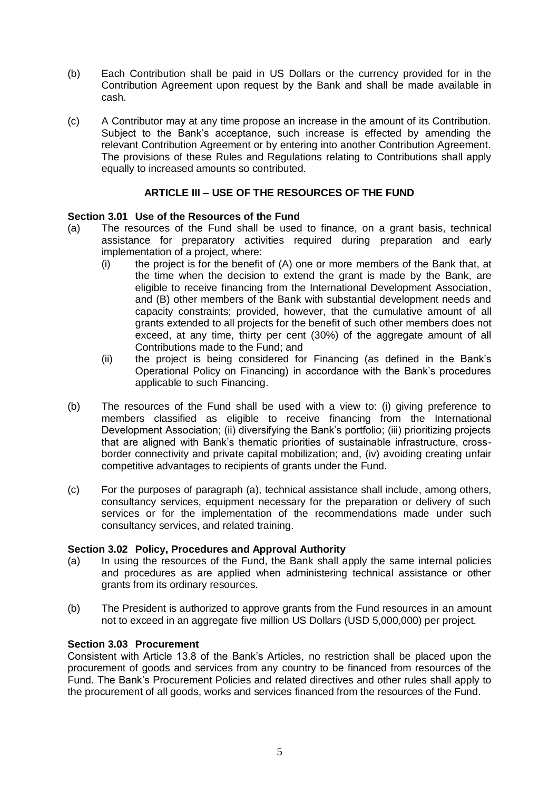- (b) Each Contribution shall be paid in US Dollars or the currency provided for in the Contribution Agreement upon request by the Bank and shall be made available in cash.
- (c) A Contributor may at any time propose an increase in the amount of its Contribution. Subject to the Bank's acceptance, such increase is effected by amending the relevant Contribution Agreement or by entering into another Contribution Agreement. The provisions of these Rules and Regulations relating to Contributions shall apply equally to increased amounts so contributed.

# **ARTICLE III – USE OF THE RESOURCES OF THE FUND**

# <span id="page-4-1"></span><span id="page-4-0"></span>**Section 3.01 Use of the Resources of the Fund**

- (a) The resources of the Fund shall be used to finance, on a grant basis, technical assistance for preparatory activities required during preparation and early implementation of a project, where:
	- $(i)$  the project is for the benefit of  $(A)$  one or more members of the Bank that, at the time when the decision to extend the grant is made by the Bank, are eligible to receive financing from the International Development Association, and (B) other members of the Bank with substantial development needs and capacity constraints; provided, however, that the cumulative amount of all grants extended to all projects for the benefit of such other members does not exceed, at any time, thirty per cent (30%) of the aggregate amount of all Contributions made to the Fund; and
	- (ii) the project is being considered for Financing (as defined in the Bank's Operational Policy on Financing) in accordance with the Bank's procedures applicable to such Financing.
- (b) The resources of the Fund shall be used with a view to: (i) giving preference to members classified as eligible to receive financing from the International Development Association; (ii) diversifying the Bank's portfolio; (iii) prioritizing projects that are aligned with Bank's thematic priorities of sustainable infrastructure, crossborder connectivity and private capital mobilization; and, (iv) avoiding creating unfair competitive advantages to recipients of grants under the Fund.
- (c) For the purposes of paragraph (a), technical assistance shall include, among others, consultancy services, equipment necessary for the preparation or delivery of such services or for the implementation of the recommendations made under such consultancy services, and related training.

## <span id="page-4-2"></span>**Section 3.02 Policy, Procedures and Approval Authority**

- (a) In using the resources of the Fund, the Bank shall apply the same internal policies and procedures as are applied when administering technical assistance or other grants from its ordinary resources.
- (b) The President is authorized to approve grants from the Fund resources in an amount not to exceed in an aggregate five million US Dollars (USD 5,000,000) per project.

# <span id="page-4-3"></span>**Section 3.03 Procurement**

Consistent with Article 13.8 of the Bank's Articles, no restriction shall be placed upon the procurement of goods and services from any country to be financed from resources of the Fund. The Bank's Procurement Policies and related directives and other rules shall apply to the procurement of all goods, works and services financed from the resources of the Fund.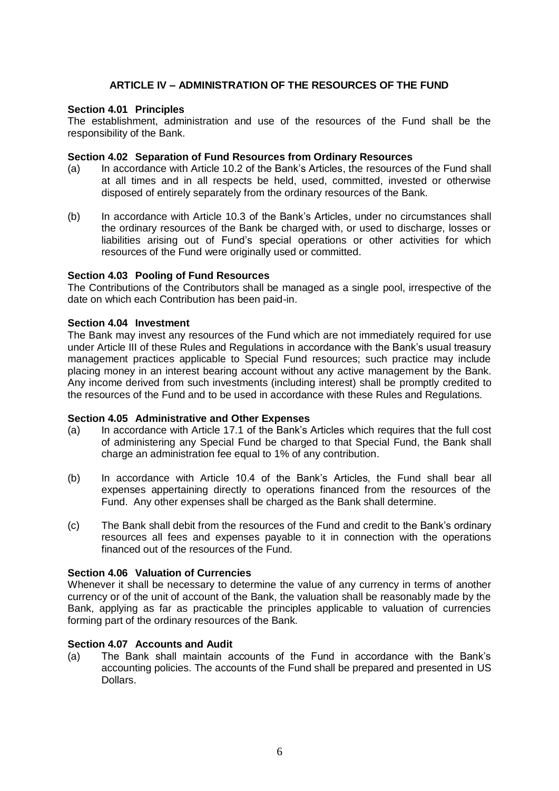# **ARTICLE IV – ADMINISTRATION OF THE RESOURCES OF THE FUND**

## <span id="page-5-1"></span><span id="page-5-0"></span>**Section 4.01 Principles**

The establishment, administration and use of the resources of the Fund shall be the responsibility of the Bank.

## <span id="page-5-2"></span>**Section 4.02 Separation of Fund Resources from Ordinary Resources**

- (a) In accordance with Article 10.2 of the Bank's Articles, the resources of the Fund shall at all times and in all respects be held, used, committed, invested or otherwise disposed of entirely separately from the ordinary resources of the Bank.
- (b) In accordance with Article 10.3 of the Bank's Articles, under no circumstances shall the ordinary resources of the Bank be charged with, or used to discharge, losses or liabilities arising out of Fund's special operations or other activities for which resources of the Fund were originally used or committed.

## <span id="page-5-3"></span>**Section 4.03 Pooling of Fund Resources**

The Contributions of the Contributors shall be managed as a single pool, irrespective of the date on which each Contribution has been paid-in.

## <span id="page-5-4"></span>**Section 4.04 Investment**

The Bank may invest any resources of the Fund which are not immediately required for use under Article III of these Rules and Regulations in accordance with the Bank's usual treasury management practices applicable to Special Fund resources; such practice may include placing money in an interest bearing account without any active management by the Bank. Any income derived from such investments (including interest) shall be promptly credited to the resources of the Fund and to be used in accordance with these Rules and Regulations.

## <span id="page-5-5"></span>**Section 4.05 Administrative and Other Expenses**

- (a) In accordance with Article 17.1 of the Bank's Articles which requires that the full cost of administering any Special Fund be charged to that Special Fund, the Bank shall charge an administration fee equal to 1% of any contribution.
- (b) In accordance with Article 10.4 of the Bank's Articles, the Fund shall bear all expenses appertaining directly to operations financed from the resources of the Fund. Any other expenses shall be charged as the Bank shall determine.
- (c) The Bank shall debit from the resources of the Fund and credit to the Bank's ordinary resources all fees and expenses payable to it in connection with the operations financed out of the resources of the Fund.

## <span id="page-5-6"></span>**Section 4.06 Valuation of Currencies**

Whenever it shall be necessary to determine the value of any currency in terms of another currency or of the unit of account of the Bank, the valuation shall be reasonably made by the Bank, applying as far as practicable the principles applicable to valuation of currencies forming part of the ordinary resources of the Bank.

# <span id="page-5-7"></span>**Section 4.07 Accounts and Audit**

(a) The Bank shall maintain accounts of the Fund in accordance with the Bank's accounting policies. The accounts of the Fund shall be prepared and presented in US Dollars.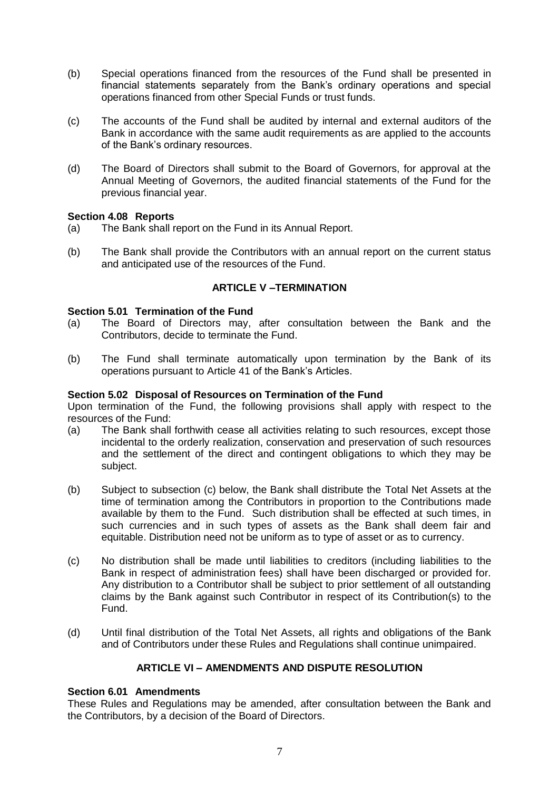- (b) Special operations financed from the resources of the Fund shall be presented in financial statements separately from the Bank's ordinary operations and special operations financed from other Special Funds or trust funds.
- (c) The accounts of the Fund shall be audited by internal and external auditors of the Bank in accordance with the same audit requirements as are applied to the accounts of the Bank's ordinary resources.
- (d) The Board of Directors shall submit to the Board of Governors, for approval at the Annual Meeting of Governors, the audited financial statements of the Fund for the previous financial year.

## <span id="page-6-0"></span>**Section 4.08 Reports**

- (a) The Bank shall report on the Fund in its Annual Report.
- (b) The Bank shall provide the Contributors with an annual report on the current status and anticipated use of the resources of the Fund.

# **ARTICLE V –TERMINATION**

## <span id="page-6-2"></span><span id="page-6-1"></span>**Section 5.01 Termination of the Fund**

- (a) The Board of Directors may, after consultation between the Bank and the Contributors, decide to terminate the Fund.
- (b) The Fund shall terminate automatically upon termination by the Bank of its operations pursuant to Article 41 of the Bank's Articles.

## <span id="page-6-3"></span>**Section 5.02 Disposal of Resources on Termination of the Fund**

Upon termination of the Fund, the following provisions shall apply with respect to the resources of the Fund:

- (a) The Bank shall forthwith cease all activities relating to such resources, except those incidental to the orderly realization, conservation and preservation of such resources and the settlement of the direct and contingent obligations to which they may be subject.
- (b) Subject to subsection (c) below, the Bank shall distribute the Total Net Assets at the time of termination among the Contributors in proportion to the Contributions made available by them to the Fund. Such distribution shall be effected at such times, in such currencies and in such types of assets as the Bank shall deem fair and equitable. Distribution need not be uniform as to type of asset or as to currency.
- (c) No distribution shall be made until liabilities to creditors (including liabilities to the Bank in respect of administration fees) shall have been discharged or provided for. Any distribution to a Contributor shall be subject to prior settlement of all outstanding claims by the Bank against such Contributor in respect of its Contribution(s) to the Fund.
- (d) Until final distribution of the Total Net Assets, all rights and obligations of the Bank and of Contributors under these Rules and Regulations shall continue unimpaired.

# **ARTICLE VI – AMENDMENTS AND DISPUTE RESOLUTION**

## <span id="page-6-5"></span><span id="page-6-4"></span>**Section 6.01 Amendments**

These Rules and Regulations may be amended, after consultation between the Bank and the Contributors, by a decision of the Board of Directors.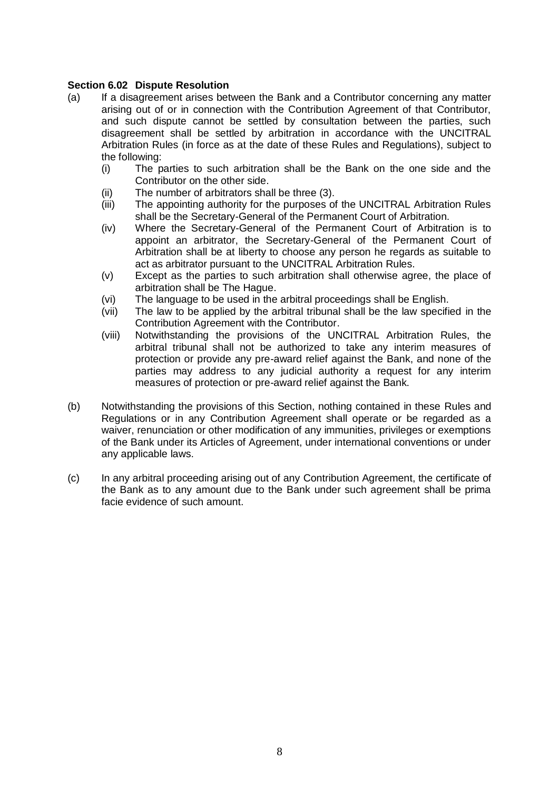# <span id="page-7-0"></span>**Section 6.02 Dispute Resolution**

- (a) If a disagreement arises between the Bank and a Contributor concerning any matter arising out of or in connection with the Contribution Agreement of that Contributor, and such dispute cannot be settled by consultation between the parties, such disagreement shall be settled by arbitration in accordance with the UNCITRAL Arbitration Rules (in force as at the date of these Rules and Regulations), subject to the following:
	- (i) The parties to such arbitration shall be the Bank on the one side and the Contributor on the other side.
	- (ii) The number of arbitrators shall be three (3).
	- (iii) The appointing authority for the purposes of the UNCITRAL Arbitration Rules shall be the Secretary-General of the Permanent Court of Arbitration.
	- (iv) Where the Secretary-General of the Permanent Court of Arbitration is to appoint an arbitrator, the Secretary-General of the Permanent Court of Arbitration shall be at liberty to choose any person he regards as suitable to act as arbitrator pursuant to the UNCITRAL Arbitration Rules.
	- (v) Except as the parties to such arbitration shall otherwise agree, the place of arbitration shall be The Hague.
	- (vi) The language to be used in the arbitral proceedings shall be English.
	- (vii) The law to be applied by the arbitral tribunal shall be the law specified in the Contribution Agreement with the Contributor.
	- (viii) Notwithstanding the provisions of the UNCITRAL Arbitration Rules, the arbitral tribunal shall not be authorized to take any interim measures of protection or provide any pre-award relief against the Bank, and none of the parties may address to any judicial authority a request for any interim measures of protection or pre-award relief against the Bank.
- (b) Notwithstanding the provisions of this Section, nothing contained in these Rules and Regulations or in any Contribution Agreement shall operate or be regarded as a waiver, renunciation or other modification of any immunities, privileges or exemptions of the Bank under its Articles of Agreement, under international conventions or under any applicable laws.
- (c) In any arbitral proceeding arising out of any Contribution Agreement, the certificate of the Bank as to any amount due to the Bank under such agreement shall be prima facie evidence of such amount.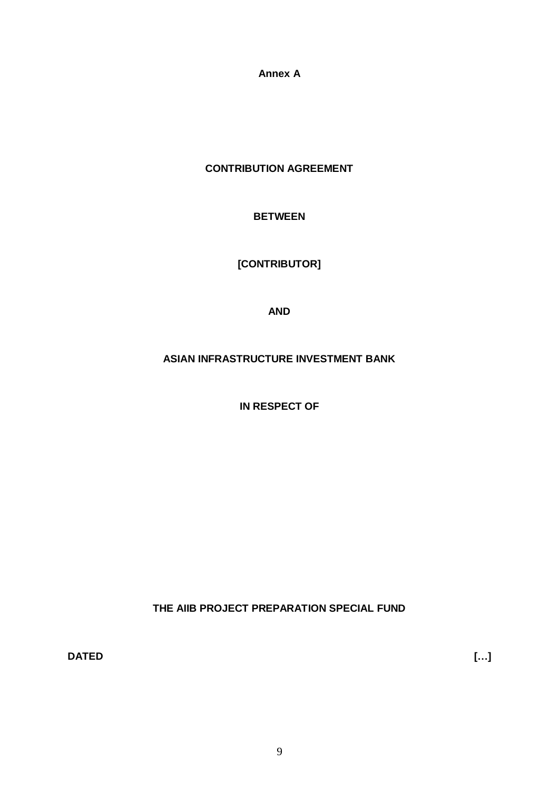**Annex A**

<span id="page-8-0"></span>**CONTRIBUTION AGREEMENT**

# **BETWEEN**

**[CONTRIBUTOR]**

**AND**

**ASIAN INFRASTRUCTURE INVESTMENT BANK**

**IN RESPECT OF** 

**THE AIIB PROJECT PREPARATION SPECIAL FUND**

**DATED […]**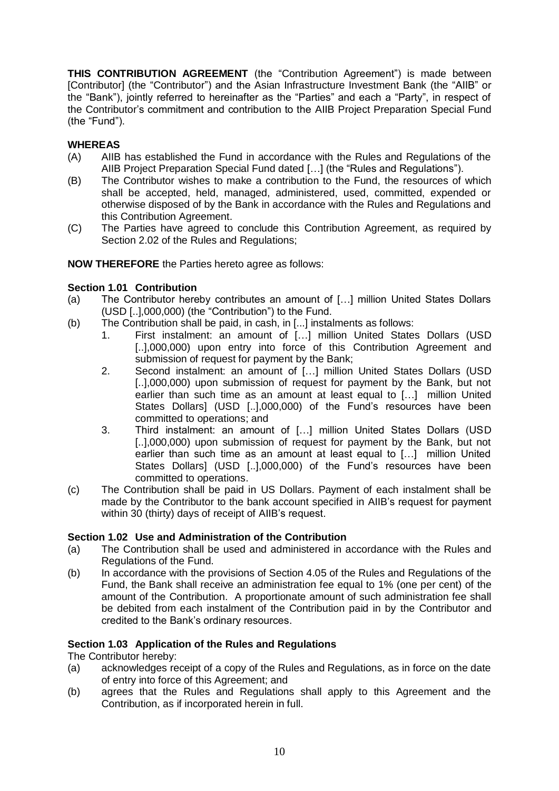**THIS CONTRIBUTION AGREEMENT** (the "Contribution Agreement") is made between [Contributor] (the "Contributor") and the Asian Infrastructure Investment Bank (the "AIIB" or the "Bank"), jointly referred to hereinafter as the "Parties" and each a "Party", in respect of the Contributor's commitment and contribution to the AIIB Project Preparation Special Fund (the "Fund").

# **WHEREAS**

- (A) AIIB has established the Fund in accordance with the Rules and Regulations of the AIIB Project Preparation Special Fund dated […] (the "Rules and Regulations").
- (B) The Contributor wishes to make a contribution to the Fund, the resources of which shall be accepted, held, managed, administered, used, committed, expended or otherwise disposed of by the Bank in accordance with the Rules and Regulations and this Contribution Agreement.
- (C) The Parties have agreed to conclude this Contribution Agreement, as required by Section 2.02 of the Rules and Regulations;

# **NOW THEREFORE** the Parties hereto agree as follows:

# <span id="page-9-0"></span>**Section 1.01 Contribution**

- (a) The Contributor hereby contributes an amount of […] million United States Dollars (USD [..],000,000) (the "Contribution") to the Fund.
- (b) The Contribution shall be paid, in cash, in [...] instalments as follows:
	- 1. First instalment: an amount of […] million United States Dollars (USD [..],000,000) upon entry into force of this Contribution Agreement and submission of request for payment by the Bank;
	- 2. Second instalment: an amount of […] million United States Dollars (USD [..],000,000) upon submission of request for payment by the Bank, but not earlier than such time as an amount at least equal to […] million United States Dollars] (USD [..],000,000) of the Fund's resources have been committed to operations; and
	- 3. Third instalment: an amount of […] million United States Dollars (USD [..],000,000) upon submission of request for payment by the Bank, but not earlier than such time as an amount at least equal to […] million United States Dollars] (USD [..],000,000) of the Fund's resources have been committed to operations.
- (c) The Contribution shall be paid in US Dollars. Payment of each instalment shall be made by the Contributor to the bank account specified in AIIB's request for payment within 30 (thirty) days of receipt of AIIB's request.

# <span id="page-9-1"></span>**Section 1.02 Use and Administration of the Contribution**

- (a) The Contribution shall be used and administered in accordance with the Rules and Regulations of the Fund.
- (b) In accordance with the provisions of Section 4.05 of the Rules and Regulations of the Fund, the Bank shall receive an administration fee equal to 1% (one per cent) of the amount of the Contribution. A proportionate amount of such administration fee shall be debited from each instalment of the Contribution paid in by the Contributor and credited to the Bank's ordinary resources.

# <span id="page-9-2"></span>**Section 1.03 Application of the Rules and Regulations**

The Contributor hereby:

- (a) acknowledges receipt of a copy of the Rules and Regulations, as in force on the date of entry into force of this Agreement; and
- (b) agrees that the Rules and Regulations shall apply to this Agreement and the Contribution, as if incorporated herein in full.